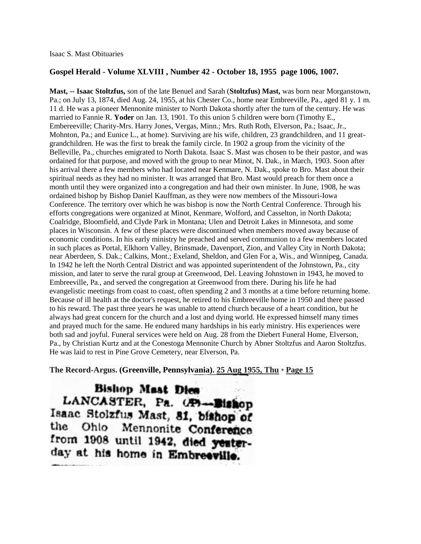## **Gospel Herald - Volume XLVIII , Number 42 - October 18, 1955 page 1006, 1007.**

**Mast, -- Isaac Stoltzfus,** son of the late Benuel and Sarah (**Stoltzfus) Mast,** was born near Morganstown, Pa.; on July 13, 1874, died Aug. 24, 1955, at his Chester Co., home near Embreeville, Pa., aged 81 y. 1 m. 11 d. He was a pioneer Mennonite minister to North Dakota shortly after the turn of the century. He was married to Fannie R. **Yoder** on Jan. 13, 1901. To this union 5 children were born (Timothy E., Embereeville; Charity-Mrs. Harry Jones, Vergas, Minn.; Mrs. Ruth Roth, Elverson, Pa.; Isaac, Jr., Mohnton, Pa.; and Eunice L., at home). Surviving are his wife, children, 23 grandchildren, and 11 greatgrandchildren. He was the first to break the family circle. In 1902 a group from the vicinity of the Belleville, Pa., churches emigrated to North Dakota. Isaac S. Mast was chosen to be their pastor, and was ordained for that purpose, and moved with the group to near Minot, N. Dak., in March, 1903. Soon after his arrival there a few members who had located near Kenmare, N. Dak., spoke to Bro. Mast about their spiritual needs as they had no minister. It was arranged that Bro. Mast would preach for them once a month until they were organized into a congregation and had their own minister. In June, 1908, he was ordained bishop by Bishop Daniel Kauffman, as they were now members of the Missouri-Iowa Conference. The territory over which he was bishop is now the North Central Conference. Through his efforts congregations were organized at Minot, Kenmare, Wolford, and Casselton, in North Dakota; Coalridge, Bloomfield, and Clyde Park in Montana; Ulen and Detroit Lakes in Minnesota, and some places in Wisconsin. A few of these places were discontinued when members moved away because of economic conditions. In his early ministry he preached and served communion to a few members located in such places as Portal, Elkhorn Valley, Brinsmade, Davenport, Zion, and Valley City in North Dakota; near Aberdeen, S. Dak.; Calkins, Mont.; Exeland, Sheldon, and Glen For a, Wis., and Winnipeg, Canada. In 1942 he left the North Central District and was appointed superintendent of the Johnstown, Pa., city mission, and later to serve the rural group at Greenwood, Del. Leaving Johnstown in 1943, he moved to Embreeville, Pa., and served the congregation at Greenwood from there. During his life he had evangelistic meetings from coast to coast, often spending 2 and 3 months at a time before returning home. Because of ill health at the doctor's request, he retired to his Embreeville home in 1950 and there passed to his reward. The past three years he was unable to attend church because of a heart condition, but he always had great concern for the church and a lost and dying world. He expressed himself many times and prayed much for the same. He endured many hardships in his early ministry. His experiences were both sad and joyful. Funeral services were held on Aug. 28 from the Diebert Funeral Home, Elverson, Pa., by Christian Kurtz and at the Conestoga Mennonite Church by Abner Stoltzfus and Aaron Stoltzfus. He was laid to rest in Pine Grove Cemetery, near Elverson, Pa.

**The Record-Argus. (Greenville, Pennsylvania). [25 Aug 1955, Thu](http://www.newspapers.com/browse/#hhPRiB627Ko-TkZEtJYDTpnV5oCvaVTB7) • [Page 15](http://www.newspapers.com/image/12604978)**

Bishop Mast Dies LANCASTER, Pa. (P)-Bishop Isaac Stolzfus Mast, 81, bishop of the Ohlo Mennonite Conference from 1908 until 1942, died yesterday at his home in Embreeville.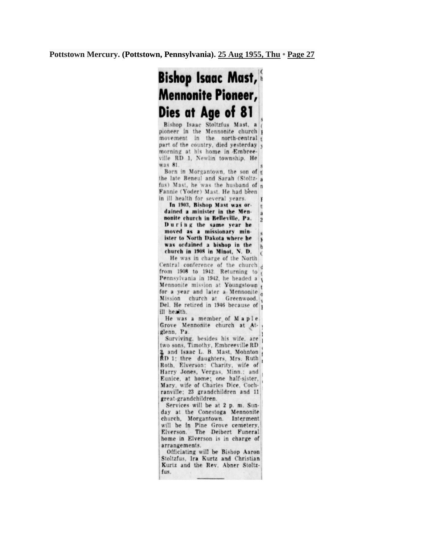## **Bishop Isaac Mast, Mennonite Pioneer,** Dies at Age of 81

Bishop Isaac Stoltzfus Mast, a pioneer in the Mennonite church movement in the north-central t part of the country, died yesterday v morning at his home in Embreeville RD 1, Newlin township. He was 81.

Born in Morgantown, the son of t the late Beneul and Sarah (Stoltz- a fus) Mast, he was the husband of n Fannie (Yoder) Mast. He had been in ill health for several vears.

In 1903, Bishop Mast was ort dained a minister in the Mena nonite church in Belleville. Pa.  $\overline{2}$ During the same year he moved as a missionary minister to North Dakota where he  $\mathbf{F}$ was ordained a bishop in the  $<sub>b</sub>$ </sub> church in 1908 in Minot, N. D.  $\epsilon$ 

He was in charge of the North Central conference of the church d from  $1908$  to  $1942$ . Returning to Pennsylvania in 1942, he headed a Mennonite mission at Youngstown for a year and later a Mennonite o Mission church at Greenwood, v Del. He retired in 1946 because of p ill health.

He was a member of Maple Grove Mennonite church at Atglenn. Pa.

Surviving, besides his wife, are two sons, Timothy, Embreeville RD 2, and Isaac L. B. Mast, Mohnton<br>RD 1; thre daughters, Mrs. Ruth Roth, Elverson: Charity, wife of Harry Jones, Vergas, Minn.; and Eunice, at home; one half-sister, Mary, wife of Charles Dice, Cochranville; 23 grandchildren and 11 great-grandchildren.

Services will be at 2 p. m. Sunday at the Conestoga Mennonite church, Morgantown. Interment will be in Pine Grove cemetery, The Deibert Funeral Elverson. home in Elverson is in charge of arrangements.

Officiating will be Bishop Aaron Stoltzfus, Ira Kurtz and Christian Kurtz and the Rev. Abner Stoltzfus.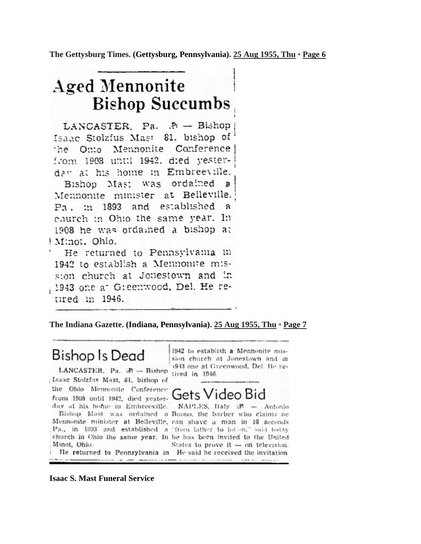The Gettysburg Times. (Gettysburg, Pennsylvania). 25 Aug 1955, Thu • Page 6

## **Aged Mennonite Bishop Succumbs**

LANCASTER, Pa. P - Bishop Isaac Stolzfus Mast 81, bishop of Conference the Onio Mennonite from 1908 until 1942, died vesterday at his home in Embreeville. ordained a Bishop Mast was Mennonite minister at Belleville. Pa. :n 1893 and es:ablished a church in Ohio the same year. In 1908 he was ordained a bishop at Minot. Ohio.

He returned to Pennsylvaina in 1942 to establish a Mennonite mission church at Jonestown and in 1943 one at Greenwood, Del. He retired in 1946.

The Indiana Gazette. (Indiana, Pennsylvania). 25 Aug 1955, Thu • Page 7

**Bishop Is Dead** 

LANCASTER, Pa. iP -- Bishop Isaac Stolzfus Mast, 81, bishop of the Ohio Mennonite Conference from 1908 until 1942, died yesterday at his home in Embreeville.

Minot, Ohio.

He returned to Pennsylvania in He said he received the invitation

1942 to establish a Mennonite mission church at Jonestown and in 1943 one at Greenwood, Del. He retired in 1946.



NAPLES, Italy  $M =$  Antonio Bishop Mast was ordained a Buono, the barber who claims he Mennonite minister at Belleville, can shave a man in 16 seconds Pa., in 1893 and established a "from lather to lotion," said today church in Ohio the same year. In he has been invited to the United States to prove it - on television.

**Isaac S. Mast Funeral Service**